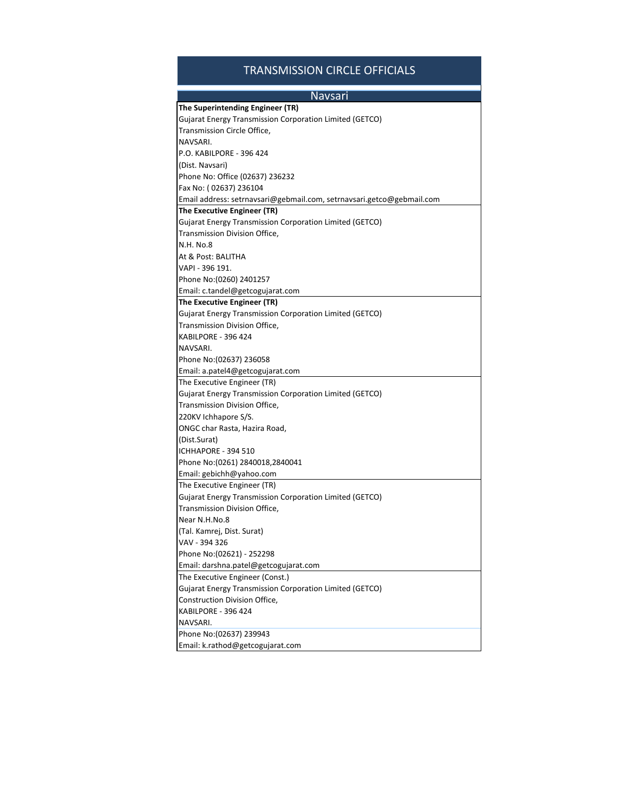## TRANSMISSION CIRCLE OFFICIALS

| <b>Navsari</b>                                                        |
|-----------------------------------------------------------------------|
| The Superintending Engineer (TR)                                      |
| Gujarat Energy Transmission Corporation Limited (GETCO)               |
| Transmission Circle Office,                                           |
| NAVSARI.                                                              |
| P.O. KABILPORE - 396 424                                              |
| (Dist. Navsari)                                                       |
| Phone No: Office (02637) 236232                                       |
| Fax No: (02637) 236104                                                |
| Email address: setrnavsari@gebmail.com, setrnavsari.getco@gebmail.com |
| The Executive Engineer (TR)                                           |
| Gujarat Energy Transmission Corporation Limited (GETCO)               |
| Transmission Division Office,                                         |
| <b>N.H. No.8</b>                                                      |
| At & Post: BALITHA                                                    |
| VAPI - 396 191.                                                       |
| Phone No: (0260) 2401257                                              |
| Email: c.tandel@getcogujarat.com                                      |
| The Executive Engineer (TR)                                           |
| Gujarat Energy Transmission Corporation Limited (GETCO)               |
| Transmission Division Office,                                         |
| KABILPORE - 396 424                                                   |
| NAVSARI.                                                              |
| Phone No: (02637) 236058                                              |
| Email: a.patel4@getcogujarat.com                                      |
| The Executive Engineer (TR)                                           |
| Gujarat Energy Transmission Corporation Limited (GETCO)               |
| Transmission Division Office,                                         |
| 220KV Ichhapore S/S.                                                  |
| ONGC char Rasta, Hazira Road,                                         |
| (Dist.Surat)                                                          |
| ICHHAPORE - 394 510                                                   |
| Phone No: (0261) 2840018,2840041                                      |
| Email: gebichh@yahoo.com                                              |
| The Executive Engineer (TR)                                           |
| <b>Gujarat Energy Transmission Corporation Limited (GETCO)</b>        |
| Transmission Division Office,                                         |
| Near N.H.No.8                                                         |
| (Tal. Kamrej, Dist. Surat)                                            |
| VAV - 394 326                                                         |
| Phone No:(02621) - 252298                                             |
| Email: darshna.patel@getcogujarat.com                                 |
| The Executive Engineer (Const.)                                       |
| Gujarat Energy Transmission Corporation Limited (GETCO)               |
| Construction Division Office,                                         |
| KABILPORE - 396 424                                                   |
| NAVSARI.                                                              |
| Phone No: (02637) 239943                                              |
| Email: k.rathod@getcogujarat.com                                      |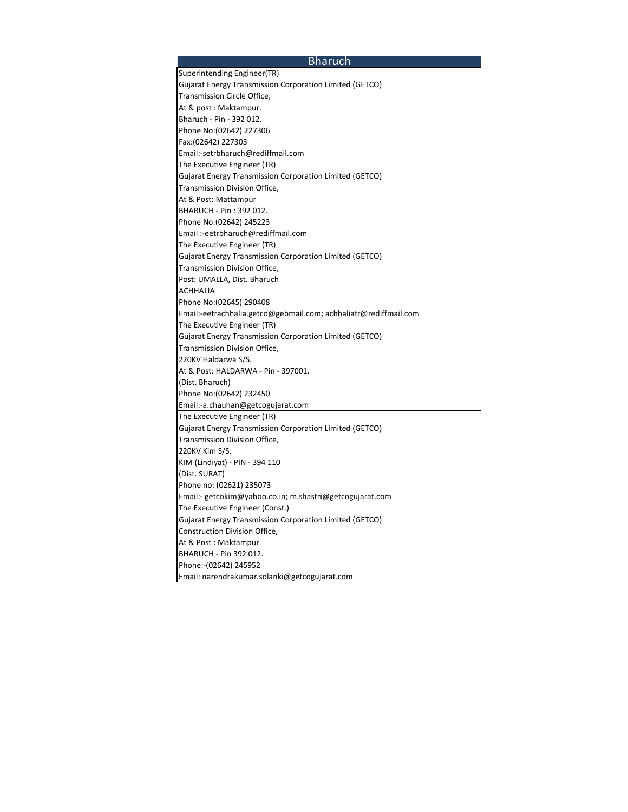| <b>Bharuch</b>                                                   |
|------------------------------------------------------------------|
| Superintending Engineer(TR)                                      |
| Gujarat Energy Transmission Corporation Limited (GETCO)          |
| Transmission Circle Office,                                      |
| At & post: Maktampur.                                            |
| Bharuch - Pin - 392 012.                                         |
| Phone No: (02642) 227306                                         |
| Fax:(02642) 227303                                               |
| Email:-setrbharuch@rediffmail.com                                |
| The Executive Engineer (TR)                                      |
| Gujarat Energy Transmission Corporation Limited (GETCO)          |
| Transmission Division Office,                                    |
| At & Post: Mattampur                                             |
| BHARUCH - Pin: 392 012.                                          |
| Phone No: (02642) 245223                                         |
| Email:-eetrbharuch@rediffmail.com                                |
| The Executive Engineer (TR)                                      |
| Gujarat Energy Transmission Corporation Limited (GETCO)          |
| Transmission Division Office,                                    |
| Post: UMALLA, Dist. Bharuch                                      |
| <b>ACHHALIA</b>                                                  |
| Phone No: (02645) 290408                                         |
| Email:-eetrachhalia.getco@gebmail.com; achhaliatr@rediffmail.com |
| The Executive Engineer (TR)                                      |
| Gujarat Energy Transmission Corporation Limited (GETCO)          |
| Transmission Division Office,                                    |
| 220KV Haldarwa S/S.                                              |
| At & Post: HALDARWA - Pin - 397001.                              |
| (Dist. Bharuch)                                                  |
| Phone No:(02642) 232450                                          |
| Email:-a.chauhan@getcogujarat.com                                |
| The Executive Engineer (TR)                                      |
| Gujarat Energy Transmission Corporation Limited (GETCO)          |
| Transmission Division Office,                                    |
| 220KV Kim S/S.                                                   |
| KIM (Lindiyat) - PIN - 394 110                                   |
| (Dist. SURAT)                                                    |
| Phone no: (02621) 235073                                         |
| Email:- getcokim@yahoo.co.in; m.shastri@getcogujarat.com         |
| The Executive Engineer (Const.)                                  |
| Gujarat Energy Transmission Corporation Limited (GETCO)          |
| Construction Division Office,                                    |
| At & Post: Maktampur                                             |
| BHARUCH - Pin 392 012.                                           |
| Phone:-(02642) 245952                                            |
| Email: narendrakumar.solanki@getcogujarat.com                    |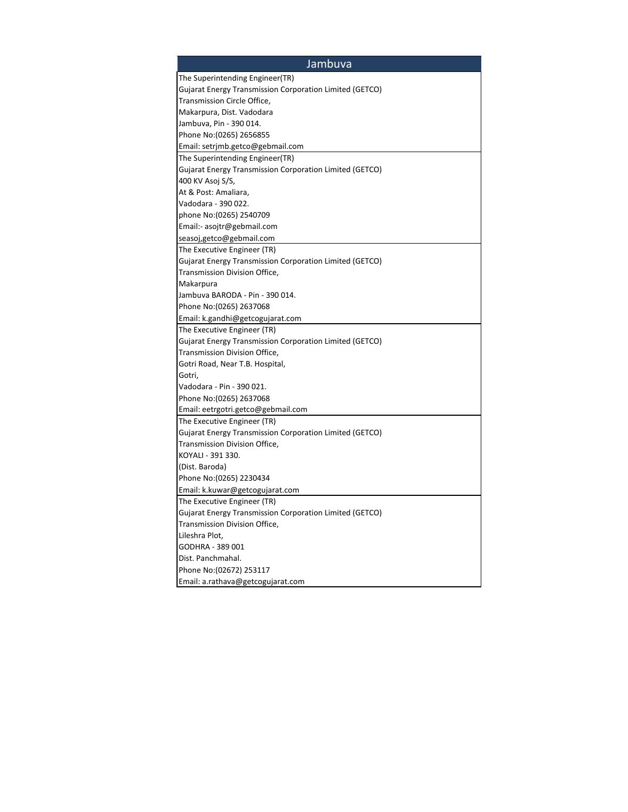| Jambuva                                                 |
|---------------------------------------------------------|
| The Superintending Engineer(TR)                         |
| Gujarat Energy Transmission Corporation Limited (GETCO) |
| Transmission Circle Office,                             |
| Makarpura, Dist. Vadodara                               |
| Jambuva, Pin - 390 014.                                 |
| Phone No: (0265) 2656855                                |
| Email: setrimb.getco@gebmail.com                        |
| The Superintending Engineer(TR)                         |
| Gujarat Energy Transmission Corporation Limited (GETCO) |
| 400 KV Asoj S/S,                                        |
| At & Post: Amaliara,                                    |
| Vadodara - 390 022.                                     |
| phone No: (0265) 2540709                                |
| Email:- asojtr@gebmail.com                              |
| seasoj,getco@gebmail.com                                |
| The Executive Engineer (TR)                             |
| Gujarat Energy Transmission Corporation Limited (GETCO) |
| Transmission Division Office,                           |
| Makarpura                                               |
| Jambuva BARODA - Pin - 390 014.                         |
| Phone No: (0265) 2637068                                |
| Email: k.gandhi@getcogujarat.com                        |
| The Executive Engineer (TR)                             |
| Gujarat Energy Transmission Corporation Limited (GETCO) |
| Transmission Division Office,                           |
| Gotri Road, Near T.B. Hospital,                         |
| Gotri.                                                  |
| Vadodara - Pin - 390 021.                               |
| Phone No: (0265) 2637068                                |
| Email: eetrgotri.getco@gebmail.com                      |
| The Executive Engineer (TR)                             |
| Gujarat Energy Transmission Corporation Limited (GETCO) |
| Transmission Division Office,                           |
| KOYALI - 391 330.                                       |
| (Dist. Baroda)                                          |
| Phone No: (0265) 2230434                                |
| Email: k.kuwar@getcogujarat.com                         |
| The Executive Engineer (TR)                             |
| Gujarat Energy Transmission Corporation Limited (GETCO) |
| Transmission Division Office,                           |
| Lileshra Plot,                                          |
| GODHRA - 389 001                                        |
| Dist. Panchmahal.                                       |
| Phone No: (02672) 253117                                |
| Email: a.rathava@getcogujarat.com                       |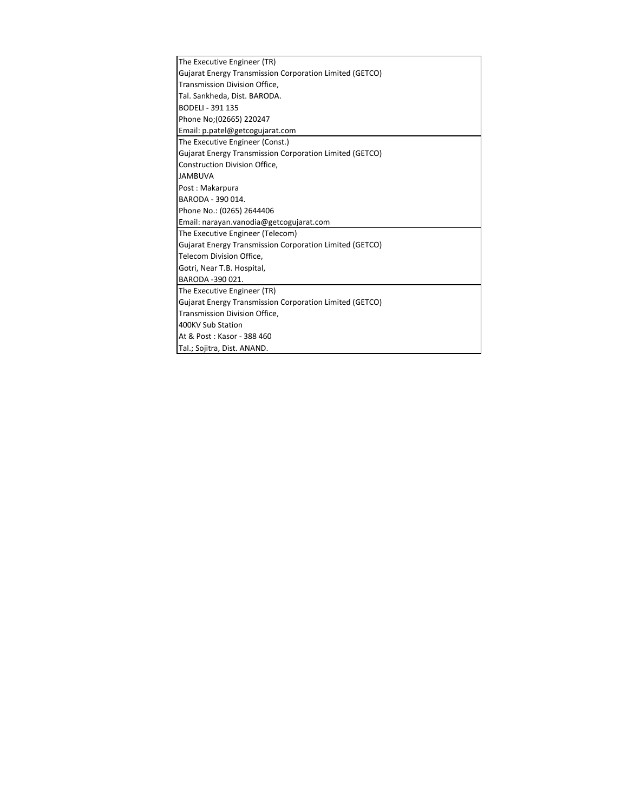| The Executive Engineer (TR)                                    |
|----------------------------------------------------------------|
| <b>Gujarat Energy Transmission Corporation Limited (GETCO)</b> |
| Transmission Division Office,                                  |
| Tal. Sankheda, Dist. BARODA.                                   |
| <b>BODELI - 391 135</b>                                        |
| Phone No;(02665) 220247                                        |
| Email: p.patel@getcogujarat.com                                |
| The Executive Engineer (Const.)                                |
| <b>Gujarat Energy Transmission Corporation Limited (GETCO)</b> |
| Construction Division Office,                                  |
| <b>JAMBUVA</b>                                                 |
| Post: Makarpura                                                |
| BARODA - 390 014.                                              |
| Phone No.: (0265) 2644406                                      |
| Email: narayan.vanodia@getcogujarat.com                        |
| The Executive Engineer (Telecom)                               |
| <b>Gujarat Energy Transmission Corporation Limited (GETCO)</b> |
| Telecom Division Office,                                       |
| Gotri, Near T.B. Hospital,                                     |
| BARODA -390 021.                                               |
| The Executive Engineer (TR)                                    |
| Gujarat Energy Transmission Corporation Limited (GETCO)        |
| Transmission Division Office,                                  |
| 400KV Sub Station                                              |
| At & Post: Kasor - 388 460                                     |
| Tal.; Sojitra, Dist. ANAND.                                    |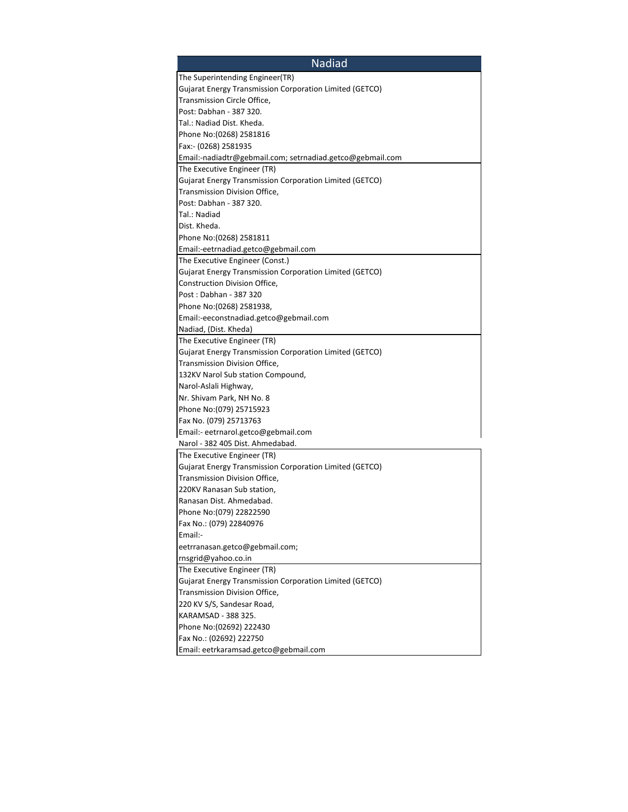| <b>Nadiad</b>                                                  |
|----------------------------------------------------------------|
| The Superintending Engineer(TR)                                |
| <b>Gujarat Energy Transmission Corporation Limited (GETCO)</b> |
| Transmission Circle Office,                                    |
| Post: Dabhan - 387 320.                                        |
| Tal.: Nadiad Dist. Kheda.                                      |
| Phone No: (0268) 2581816                                       |
| Fax:- (0268) 2581935                                           |
| Email:-nadiadtr@gebmail.com; setrnadiad.getco@gebmail.com      |
| The Executive Engineer (TR)                                    |
| Gujarat Energy Transmission Corporation Limited (GETCO)        |
| Transmission Division Office,                                  |
| Post: Dabhan - 387 320.                                        |
| Tal.: Nadiad                                                   |
| Dist. Kheda.                                                   |
| Phone No: (0268) 2581811                                       |
| Email:-eetrnadiad.getco@gebmail.com                            |
| The Executive Engineer (Const.)                                |
| Gujarat Energy Transmission Corporation Limited (GETCO)        |
| Construction Division Office,                                  |
| Post: Dabhan - 387 320                                         |
| Phone No: (0268) 2581938,                                      |
| Email:-eeconstnadiad.getco@gebmail.com                         |
| Nadiad, (Dist. Kheda)                                          |
| The Executive Engineer (TR)                                    |
| <b>Gujarat Energy Transmission Corporation Limited (GETCO)</b> |
| Transmission Division Office,                                  |
| 132KV Narol Sub station Compound,                              |
| Narol-Aslali Highway,                                          |
| Nr. Shivam Park, NH No. 8                                      |
| Phone No: (079) 25715923                                       |
| Fax No. (079) 25713763                                         |
| Email:- eetrnarol.getco@gebmail.com                            |
| Narol - 382 405 Dist. Ahmedabad.                               |
| The Executive Engineer (TR)                                    |
| Gujarat Energy Transmission Corporation Limited (GETCO)        |
| Transmission Division Office,                                  |
| 220KV Ranasan Sub station,                                     |
| Ranasan Dist. Ahmedabad.                                       |
| Phone No: (079) 22822590                                       |
| Fax No.: (079) 22840976                                        |
| Email:-                                                        |
| eetrranasan.getco@gebmail.com;                                 |
| rnsgrid@yahoo.co.in                                            |
| The Executive Engineer (TR)                                    |
| Gujarat Energy Transmission Corporation Limited (GETCO)        |
| Transmission Division Office,                                  |
| 220 KV S/S, Sandesar Road,                                     |
| KARAMSAD - 388 325.                                            |
| Phone No: (02692) 222430                                       |
| Fax No.: (02692) 222750                                        |
| Email: eetrkaramsad.getco@gebmail.com                          |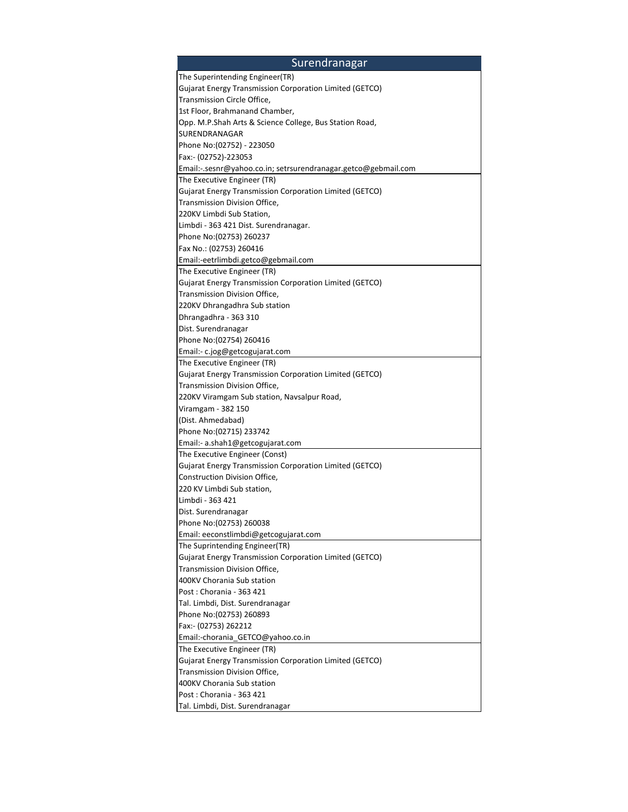| Surendranagar                                                    |
|------------------------------------------------------------------|
| The Superintending Engineer(TR)                                  |
| Gujarat Energy Transmission Corporation Limited (GETCO)          |
| Transmission Circle Office,                                      |
| 1st Floor, Brahmanand Chamber,                                   |
| Opp. M.P.Shah Arts & Science College, Bus Station Road,          |
| SURENDRANAGAR                                                    |
| Phone No: (02752) - 223050                                       |
| Fax:- (02752)-223053                                             |
| Email:-.sesnr@yahoo.co.in; setrsurendranagar.getco@gebmail.com   |
| The Executive Engineer (TR)                                      |
| Gujarat Energy Transmission Corporation Limited (GETCO)          |
| Transmission Division Office,                                    |
| 220KV Limbdi Sub Station,                                        |
| Limbdi - 363 421 Dist. Surendranagar.                            |
| Phone No: (02753) 260237                                         |
| Fax No.: (02753) 260416                                          |
| Email:-eetrlimbdi.getco@gebmail.com                              |
| The Executive Engineer (TR)                                      |
| Gujarat Energy Transmission Corporation Limited (GETCO)          |
| Transmission Division Office,                                    |
| 220KV Dhrangadhra Sub station                                    |
| Dhrangadhra - 363 310                                            |
| Dist. Surendranagar                                              |
| Phone No: (02754) 260416                                         |
| Email:- c.jog@getcogujarat.com                                   |
| The Executive Engineer (TR)                                      |
| Gujarat Energy Transmission Corporation Limited (GETCO)          |
| Transmission Division Office,                                    |
| 220KV Viramgam Sub station, Navsalpur Road,                      |
| Viramgam - 382 150                                               |
| (Dist. Ahmedabad)                                                |
| Phone No:(02715) 233742                                          |
| Email:- a.shah1@getcogujarat.com                                 |
| The Executive Engineer (Const)                                   |
| Gujarat Energy Transmission Corporation Limited (GETCO)          |
| Construction Division Office,                                    |
| 220 KV Limbdi Sub station,                                       |
| Limbdi - 363 421                                                 |
| Dist. Surendranagar                                              |
| Phone No: (02753) 260038                                         |
| Email: eeconstlimbdi@getcogujarat.com                            |
| The Suprintending Engineer(TR)                                   |
| Gujarat Energy Transmission Corporation Limited (GETCO)          |
| Transmission Division Office,                                    |
| 400KV Chorania Sub station                                       |
| Post: Chorania - 363 421                                         |
| Tal. Limbdi, Dist. Surendranagar                                 |
| Phone No: (02753) 260893                                         |
| Fax:- (02753) 262212                                             |
| Email:-chorania_GETCO@yahoo.co.in<br>The Executive Engineer (TR) |
| Gujarat Energy Transmission Corporation Limited (GETCO)          |
| Transmission Division Office,                                    |
| 400KV Chorania Sub station                                       |
| Post: Chorania - 363 421                                         |
| Tal. Limbdi, Dist. Surendranagar                                 |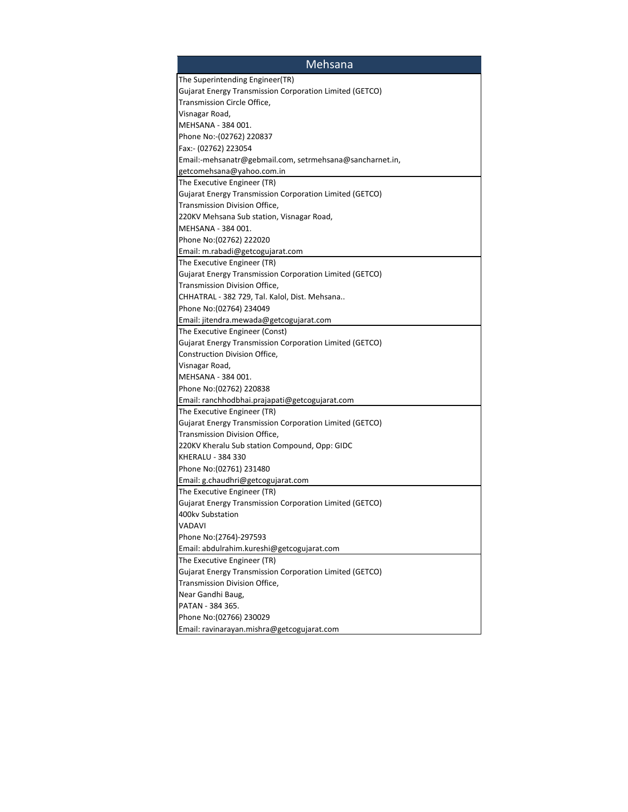| Mehsana                                                  |
|----------------------------------------------------------|
| The Superintending Engineer(TR)                          |
| Gujarat Energy Transmission Corporation Limited (GETCO)  |
| Transmission Circle Office,                              |
| Visnagar Road,                                           |
| MEHSANA - 384 001.                                       |
| Phone No:-(02762) 220837                                 |
| Fax:- (02762) 223054                                     |
| Email:-mehsanatr@gebmail.com, setrmehsana@sancharnet.in, |
| getcomehsana@yahoo.com.in                                |
| The Executive Engineer (TR)                              |
| Gujarat Energy Transmission Corporation Limited (GETCO)  |
| Transmission Division Office,                            |
| 220KV Mehsana Sub station, Visnagar Road,                |
| MEHSANA - 384 001.                                       |
| Phone No: (02762) 222020                                 |
| Email: m.rabadi@getcogujarat.com                         |
| The Executive Engineer (TR)                              |
| Gujarat Energy Transmission Corporation Limited (GETCO)  |
| Transmission Division Office,                            |
| CHHATRAL - 382 729, Tal. Kalol, Dist. Mehsana            |
| Phone No: (02764) 234049                                 |
| Email: jitendra.mewada@getcogujarat.com                  |
| The Executive Engineer (Const)                           |
| Gujarat Energy Transmission Corporation Limited (GETCO)  |
| Construction Division Office,                            |
| Visnagar Road,                                           |
| MEHSANA - 384 001.                                       |
| Phone No: (02762) 220838                                 |
| Email: ranchhodbhai.prajapati@getcogujarat.com           |
| The Executive Engineer (TR)                              |
| Gujarat Energy Transmission Corporation Limited (GETCO)  |
| Transmission Division Office,                            |
| 220KV Kheralu Sub station Compound, Opp: GIDC            |
| <b>KHERALU - 384 330</b>                                 |
| Phone No: (02761) 231480                                 |
| Email: g.chaudhri@getcogujarat.com                       |
| The Executive Engineer (TR)                              |
| Gujarat Energy Transmission Corporation Limited (GETCO)  |
| 400kv Substation                                         |
| VADAVI                                                   |
| Phone No:(2764)-297593                                   |
| Email: abdulrahim.kureshi@getcogujarat.com               |
| The Executive Engineer (TR)                              |
| Gujarat Energy Transmission Corporation Limited (GETCO)  |
| Transmission Division Office,                            |
| Near Gandhi Baug,                                        |
| PATAN - 384 365.                                         |
| Phone No: (02766) 230029                                 |
| Email: ravinarayan.mishra@getcogujarat.com               |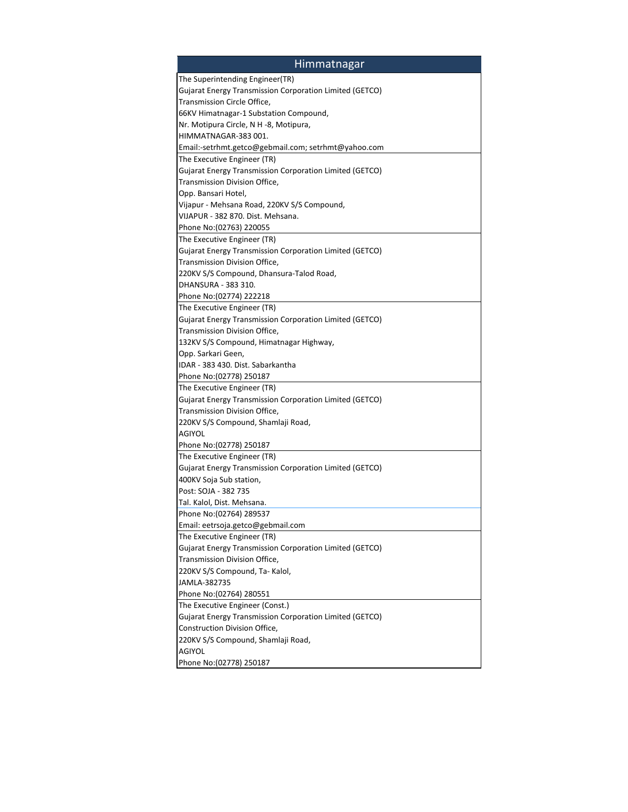| <b>Himmatnagar</b>                                             |
|----------------------------------------------------------------|
| The Superintending Engineer(TR)                                |
| <b>Gujarat Energy Transmission Corporation Limited (GETCO)</b> |
| Transmission Circle Office,                                    |
| 66KV Himatnagar-1 Substation Compound,                         |
| Nr. Motipura Circle, N H -8, Motipura,                         |
| HIMMATNAGAR-383 001.                                           |
| Email:-setrhmt.getco@gebmail.com; setrhmt@yahoo.com            |
| The Executive Engineer (TR)                                    |
| Gujarat Energy Transmission Corporation Limited (GETCO)        |
| Transmission Division Office,                                  |
| Opp. Bansari Hotel,                                            |
| Vijapur - Mehsana Road, 220KV S/S Compound,                    |
| VIJAPUR - 382 870. Dist. Mehsana.                              |
| Phone No: (02763) 220055                                       |
| The Executive Engineer (TR)                                    |
| Gujarat Energy Transmission Corporation Limited (GETCO)        |
| Transmission Division Office,                                  |
| 220KV S/S Compound, Dhansura-Talod Road,                       |
| DHANSURA - 383 310.                                            |
| Phone No: (02774) 222218                                       |
| The Executive Engineer (TR)                                    |
| Gujarat Energy Transmission Corporation Limited (GETCO)        |
| Transmission Division Office,                                  |
| 132KV S/S Compound, Himatnagar Highway,                        |
| Opp. Sarkari Geen,                                             |
| IDAR - 383 430. Dist. Sabarkantha                              |
| Phone No: (02778) 250187                                       |
| The Executive Engineer (TR)                                    |
| Gujarat Energy Transmission Corporation Limited (GETCO)        |
| Transmission Division Office,                                  |
| 220KV S/S Compound, Shamlaji Road,                             |
| <b>AGIYOL</b>                                                  |
| Phone No: (02778) 250187                                       |
| The Executive Engineer (TR)                                    |
| Gujarat Energy Transmission Corporation Limited (GETCO)        |
| 400KV Soja Sub station,                                        |
| Post: SOJA - 382 735                                           |
| Tal. Kalol, Dist. Mehsana.                                     |
| Phone No: (02764) 289537                                       |
| Email: eetrsoja.getco@gebmail.com                              |
| The Executive Engineer (TR)                                    |
| Gujarat Energy Transmission Corporation Limited (GETCO)        |
| Transmission Division Office,                                  |
| 220KV S/S Compound, Ta-Kalol,                                  |
| JAMLA-382735                                                   |
| Phone No: (02764) 280551                                       |
| The Executive Engineer (Const.)                                |
| Gujarat Energy Transmission Corporation Limited (GETCO)        |
| Construction Division Office,                                  |
| 220KV S/S Compound, Shamlaji Road,                             |
| <b>AGIYOL</b>                                                  |
| Phone No: (02778) 250187                                       |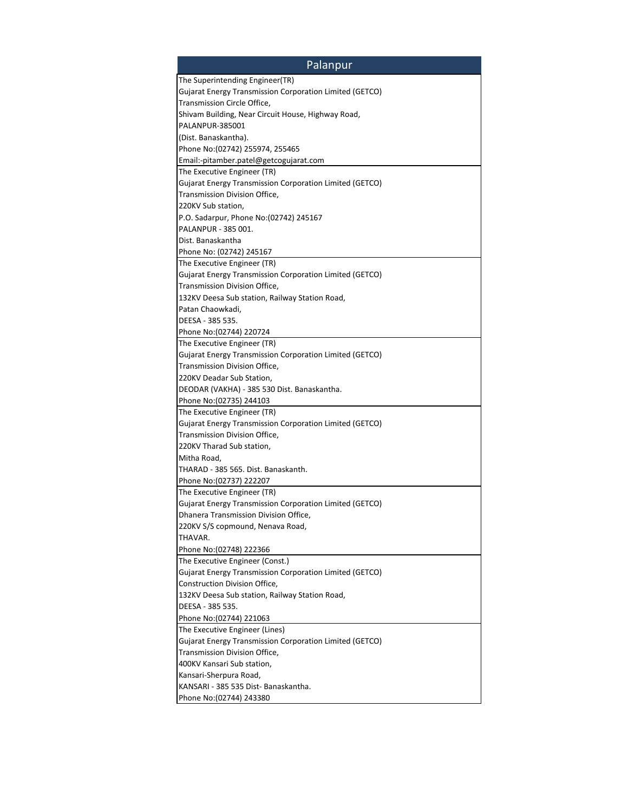| <b>Palanpur</b>                                                |
|----------------------------------------------------------------|
| The Superintending Engineer(TR)                                |
| Gujarat Energy Transmission Corporation Limited (GETCO)        |
| Transmission Circle Office,                                    |
| Shivam Building, Near Circuit House, Highway Road,             |
| PALANPUR-385001                                                |
| (Dist. Banaskantha).                                           |
| Phone No: (02742) 255974, 255465                               |
| Email:-pitamber.patel@getcogujarat.com                         |
| The Executive Engineer (TR)                                    |
| <b>Gujarat Energy Transmission Corporation Limited (GETCO)</b> |
| Transmission Division Office,                                  |
| 220KV Sub station,                                             |
| P.O. Sadarpur, Phone No: (02742) 245167                        |
| PALANPUR - 385 001.                                            |
| Dist. Banaskantha                                              |
| Phone No: (02742) 245167                                       |
| The Executive Engineer (TR)                                    |
| Gujarat Energy Transmission Corporation Limited (GETCO)        |
|                                                                |
| Transmission Division Office,                                  |
| 132KV Deesa Sub station, Railway Station Road,                 |
| Patan Chaowkadi,                                               |
| DEESA - 385 535.                                               |
| Phone No: (02744) 220724                                       |
| The Executive Engineer (TR)                                    |
| Gujarat Energy Transmission Corporation Limited (GETCO)        |
| Transmission Division Office,                                  |
| 220KV Deadar Sub Station,                                      |
| DEODAR (VAKHA) - 385 530 Dist. Banaskantha.                    |
| Phone No: (02735) 244103                                       |
| The Executive Engineer (TR)                                    |
| Gujarat Energy Transmission Corporation Limited (GETCO)        |
| Transmission Division Office,                                  |
| 220KV Tharad Sub station,                                      |
| Mitha Road,                                                    |
| THARAD - 385 565. Dist. Banaskanth.                            |
| Phone No: (02737) 222207                                       |
| The Executive Engineer (TR)                                    |
| Gujarat Energy Transmission Corporation Limited (GETCO)        |
| Dhanera Transmission Division Office                           |
| 220KV S/S copmound, Nenava Road,                               |
| THAVAR.                                                        |
| Phone No: (02748) 222366                                       |
| The Executive Engineer (Const.)                                |
| Gujarat Energy Transmission Corporation Limited (GETCO)        |
| Construction Division Office,                                  |
| 132KV Deesa Sub station, Railway Station Road,                 |
| DEESA - 385 535.                                               |
| Phone No: (02744) 221063                                       |
| The Executive Engineer (Lines)                                 |
| Gujarat Energy Transmission Corporation Limited (GETCO)        |
| Transmission Division Office,                                  |
| 400KV Kansari Sub station,                                     |
|                                                                |
| Kansari-Sherpura Road,                                         |
| KANSARI - 385 535 Dist-Banaskantha.                            |
| Phone No: (02744) 243380                                       |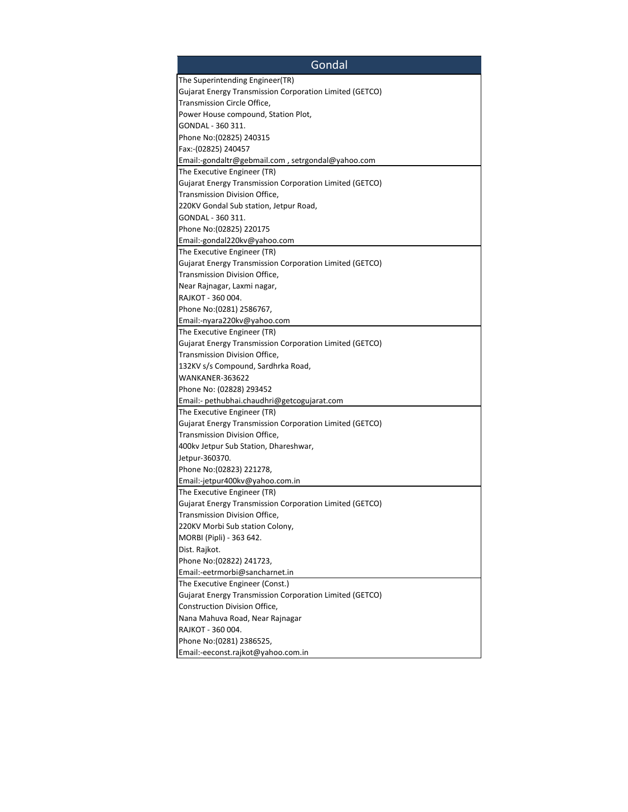| Gondal                                                  |
|---------------------------------------------------------|
| The Superintending Engineer(TR)                         |
| Gujarat Energy Transmission Corporation Limited (GETCO) |
| Transmission Circle Office,                             |
| Power House compound, Station Plot,                     |
| GONDAL - 360 311.                                       |
| Phone No: (02825) 240315                                |
| Fax:-(02825) 240457                                     |
| Email:-gondaltr@gebmail.com, setrgondal@yahoo.com       |
| The Executive Engineer (TR)                             |
| Gujarat Energy Transmission Corporation Limited (GETCO) |
| Transmission Division Office,                           |
| 220KV Gondal Sub station, Jetpur Road,                  |
| GONDAL - 360 311.                                       |
| Phone No: (02825) 220175                                |
| Email:-gondal220kv@yahoo.com                            |
| The Executive Engineer (TR)                             |
| Gujarat Energy Transmission Corporation Limited (GETCO) |
| Transmission Division Office,                           |
|                                                         |
| Near Rajnagar, Laxmi nagar,<br>RAJKOT - 360 004.        |
|                                                         |
| Phone No: (0281) 2586767,                               |
| Email:-nyara220kv@yahoo.com                             |
| The Executive Engineer (TR)                             |
| Gujarat Energy Transmission Corporation Limited (GETCO) |
| Transmission Division Office,                           |
| 132KV s/s Compound, Sardhrka Road,                      |
| WANKANER-363622                                         |
| Phone No: (02828) 293452                                |
| Email:- pethubhai.chaudhri@getcogujarat.com             |
| The Executive Engineer (TR)                             |
| Gujarat Energy Transmission Corporation Limited (GETCO) |
| Transmission Division Office,                           |
| 400kv Jetpur Sub Station, Dhareshwar,                   |
| Jetpur-360370.                                          |
| Phone No: (02823) 221278,                               |
| Email:-jetpur400kv@yahoo.com.in                         |
| The Executive Engineer (TR)                             |
| Gujarat Energy Transmission Corporation Limited (GETCO) |
| Transmission Division Office.                           |
| 220KV Morbi Sub station Colony,                         |
| MORBI (Pipli) - 363 642.                                |
| Dist. Rajkot.                                           |
| Phone No: (02822) 241723,                               |
| Email:-eetrmorbi@sancharnet.in                          |
| The Executive Engineer (Const.)                         |
| Gujarat Energy Transmission Corporation Limited (GETCO) |
| Construction Division Office,                           |
| Nana Mahuva Road, Near Rajnagar                         |
| RAJKOT - 360 004.                                       |
| Phone No: (0281) 2386525,                               |
| Email:-eeconst.rajkot@yahoo.com.in                      |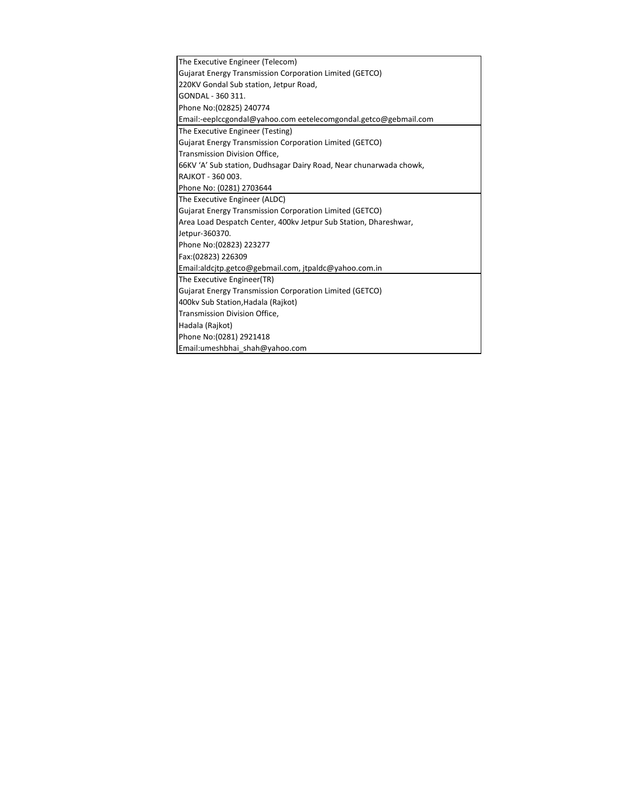| The Executive Engineer (Telecom)                                   |
|--------------------------------------------------------------------|
| Gujarat Energy Transmission Corporation Limited (GETCO)            |
| 220KV Gondal Sub station, Jetpur Road,                             |
| GONDAL - 360 311.                                                  |
| Phone No: (02825) 240774                                           |
| Email:-eepiccgondal@yahoo.com eetelecomgondal.getco@gebmail.com    |
| The Executive Engineer (Testing)                                   |
| Gujarat Energy Transmission Corporation Limited (GETCO)            |
| Transmission Division Office,                                      |
| 66KV 'A' Sub station, Dudhsagar Dairy Road, Near chunarwada chowk, |
| RAJKOT - 360 003.                                                  |
| Phone No: (0281) 2703644                                           |
| The Executive Engineer (ALDC)                                      |
| Gujarat Energy Transmission Corporation Limited (GETCO)            |
| Area Load Despatch Center, 400kv Jetpur Sub Station, Dhareshwar,   |
| Jetpur-360370.                                                     |
| Phone No: (02823) 223277                                           |
| Fax: (02823) 226309                                                |
| Email:aldcjtp.getco@gebmail.com, jtpaldc@yahoo.com.in              |
| The Executive Engineer(TR)                                         |
| Gujarat Energy Transmission Corporation Limited (GETCO)            |
| 400kv Sub Station, Hadala (Rajkot)                                 |
| Transmission Division Office,                                      |
| Hadala (Rajkot)                                                    |
| Phone No: (0281) 2921418                                           |
| Email:umeshbhai shah@yahoo.com                                     |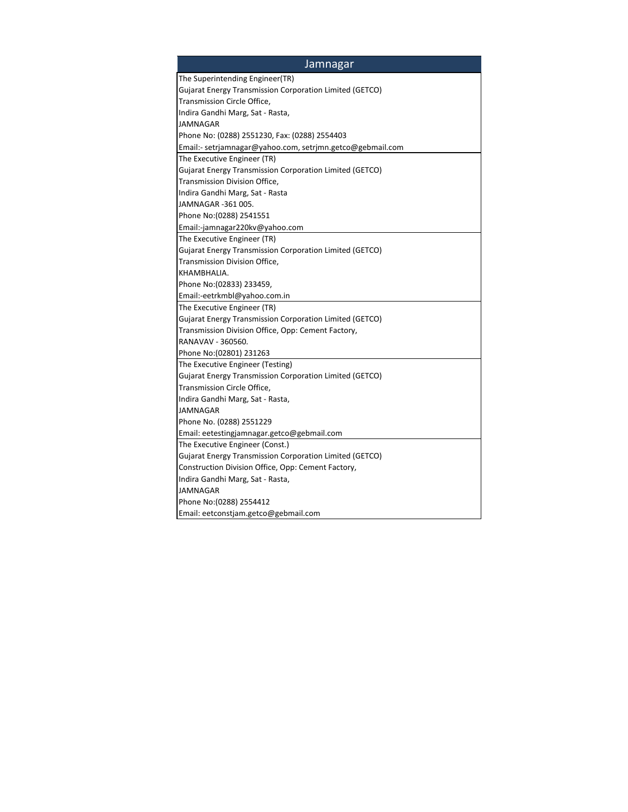| <b>Jamnagar</b>                                           |
|-----------------------------------------------------------|
| The Superintending Engineer(TR)                           |
| Gujarat Energy Transmission Corporation Limited (GETCO)   |
| Transmission Circle Office,                               |
| Indira Gandhi Marg, Sat - Rasta,                          |
| JAMNAGAR                                                  |
| Phone No: (0288) 2551230, Fax: (0288) 2554403             |
| Email:- setrjamnagar@yahoo.com, setrjmn.getco@gebmail.com |
| The Executive Engineer (TR)                               |
| Gujarat Energy Transmission Corporation Limited (GETCO)   |
| Transmission Division Office,                             |
| Indira Gandhi Marg, Sat - Rasta                           |
| JAMNAGAR -361 005.                                        |
| Phone No: (0288) 2541551                                  |
| Email:-jamnagar220kv@yahoo.com                            |
| The Executive Engineer (TR)                               |
| Gujarat Energy Transmission Corporation Limited (GETCO)   |
| Transmission Division Office,                             |
| KHAMBHALIA.                                               |
| Phone No: (02833) 233459,                                 |
| Email:-eetrkmbl@yahoo.com.in                              |
| The Executive Engineer (TR)                               |
| Gujarat Energy Transmission Corporation Limited (GETCO)   |
| Transmission Division Office, Opp: Cement Factory,        |
| RANAVAV - 360560.                                         |
| Phone No:(02801) 231263                                   |
| The Executive Engineer (Testing)                          |
| Gujarat Energy Transmission Corporation Limited (GETCO)   |
| Transmission Circle Office,                               |
| Indira Gandhi Marg, Sat - Rasta,                          |
| JAMNAGAR                                                  |
| Phone No. (0288) 2551229                                  |
| Email: eetestingjamnagar.getco@gebmail.com                |
| The Executive Engineer (Const.)                           |
| Gujarat Energy Transmission Corporation Limited (GETCO)   |
| Construction Division Office, Opp: Cement Factory,        |
| Indira Gandhi Marg, Sat - Rasta,                          |
| <b>JAMNAGAR</b>                                           |
| Phone No: (0288) 2554412                                  |
| Email: eetconstjam.getco@gebmail.com                      |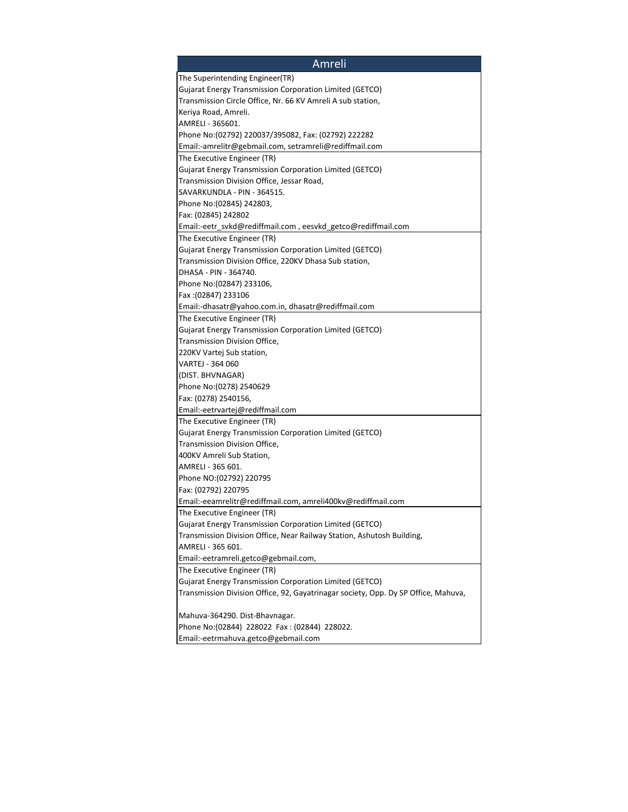| Amreli                                                                                 |
|----------------------------------------------------------------------------------------|
| The Superintending Engineer(TR)                                                        |
| Gujarat Energy Transmission Corporation Limited (GETCO)                                |
| Transmission Circle Office, Nr. 66 KV Amreli A sub station,                            |
| Keriya Road, Amreli.                                                                   |
| AMRELI - 365601.                                                                       |
| Phone No:(02792) 220037/395082, Fax: (02792) 222282                                    |
| Email:-amrelitr@gebmail.com, setramreli@rediffmail.com                                 |
| The Executive Engineer (TR)                                                            |
| Gujarat Energy Transmission Corporation Limited (GETCO)                                |
| Transmission Division Office, Jessar Road,                                             |
| SAVARKUNDLA - PIN - 364515.                                                            |
| Phone No: (02845) 242803,                                                              |
| Fax: (02845) 242802                                                                    |
| Email:-eetr_svkd@rediffmail.com, eesvkd_getco@rediffmail.com                           |
| The Executive Engineer (TR)                                                            |
| Gujarat Energy Transmission Corporation Limited (GETCO)                                |
| Transmission Division Office, 220KV Dhasa Sub station,                                 |
| DHASA - PIN - 364740.                                                                  |
| Phone No: (02847) 233106,                                                              |
| Fax: (02847) 233106                                                                    |
| Email:-dhasatr@yahoo.com.in, dhasatr@rediffmail.com                                    |
| The Executive Engineer (TR)                                                            |
| Gujarat Energy Transmission Corporation Limited (GETCO)                                |
| Transmission Division Office,                                                          |
| 220KV Vartej Sub station,                                                              |
| VARTEJ - 364 060                                                                       |
| (DIST. BHVNAGAR)                                                                       |
| Phone No: (0278) 2540629                                                               |
| Fax: (0278) 2540156,                                                                   |
| Email:-eetrvartej@rediffmail.com                                                       |
|                                                                                        |
| The Executive Engineer (TR)<br>Gujarat Energy Transmission Corporation Limited (GETCO) |
| Transmission Division Office,                                                          |
| 400KV Amreli Sub Station,                                                              |
| AMRELI - 365 601.                                                                      |
|                                                                                        |
| Phone NO:(02792) 220795                                                                |
| Fax: (02792) 220795<br>Email:-eeamrelitr@rediffmail.com, amreli400kv@rediffmail.com    |
|                                                                                        |
| The Executive Engineer (TR)                                                            |
| Gujarat Energy Transmission Corporation Limited (GETCO)                                |
| Transmission Division Office, Near Railway Station, Ashutosh Building,                 |
| AMRELI - 365 601.                                                                      |
| Email:-eetramreli.getco@gebmail.com,                                                   |
| The Executive Engineer (TR)                                                            |
| Gujarat Energy Transmission Corporation Limited (GETCO)                                |
| Transmission Division Office, 92, Gayatrinagar society, Opp. Dy SP Office, Mahuva,     |
| Mahuva-364290. Dist-Bhavnagar.                                                         |
| Phone No: (02844) 228022 Fax: (02844) 228022.                                          |
| Email:-eetrmahuva.getco@gebmail.com                                                    |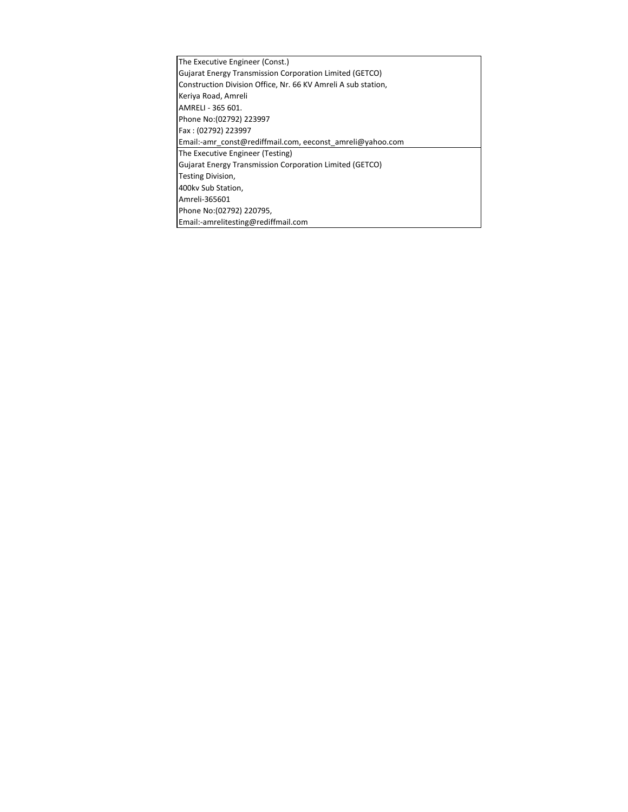| The Executive Engineer (Const.)                                |
|----------------------------------------------------------------|
| Gujarat Energy Transmission Corporation Limited (GETCO)        |
| Construction Division Office, Nr. 66 KV Amreli A sub station,  |
| Keriya Road, Amreli                                            |
| AMRELI - 365 601.                                              |
| Phone No: (02792) 223997                                       |
| Fax: (02792) 223997                                            |
| Email:-amr const@rediffmail.com, eeconst amreli@yahoo.com      |
| The Executive Engineer (Testing)                               |
| <b>Gujarat Energy Transmission Corporation Limited (GETCO)</b> |
| Testing Division,                                              |
| 400kv Sub Station,                                             |
| Amreli-365601                                                  |
| Phone No: (02792) 220795,                                      |
| Email:-amrelitesting@rediffmail.com                            |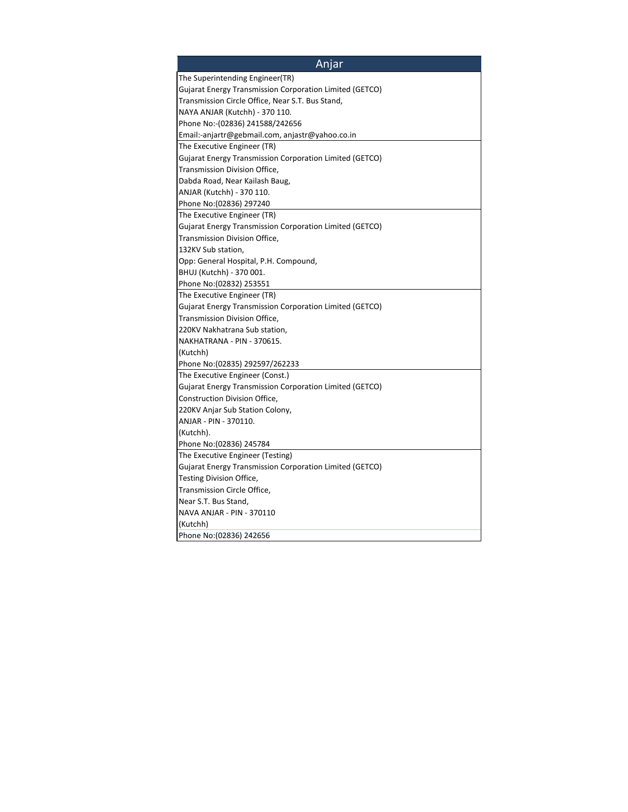| Anjar                                                   |
|---------------------------------------------------------|
| The Superintending Engineer(TR)                         |
| Gujarat Energy Transmission Corporation Limited (GETCO) |
| Transmission Circle Office, Near S.T. Bus Stand,        |
| NAYA ANJAR (Kutchh) - 370 110.                          |
| Phone No:-(02836) 241588/242656                         |
| Email:-anjartr@gebmail.com, anjastr@yahoo.co.in         |
| The Executive Engineer (TR)                             |
| Gujarat Energy Transmission Corporation Limited (GETCO) |
| Transmission Division Office,                           |
| Dabda Road, Near Kailash Baug,                          |
| ANJAR (Kutchh) - 370 110.                               |
| Phone No: (02836) 297240                                |
| The Executive Engineer (TR)                             |
| Gujarat Energy Transmission Corporation Limited (GETCO) |
| Transmission Division Office,                           |
| 132KV Sub station,                                      |
| Opp: General Hospital, P.H. Compound,                   |
| BHUJ (Kutchh) - 370 001.                                |
| Phone No: (02832) 253551                                |
| The Executive Engineer (TR)                             |
| Gujarat Energy Transmission Corporation Limited (GETCO) |
| Transmission Division Office,                           |
| 220KV Nakhatrana Sub station,                           |
| NAKHATRANA - PIN - 370615.                              |
| (Kutchh)                                                |
| Phone No: (02835) 292597/262233                         |
| The Executive Engineer (Const.)                         |
| Gujarat Energy Transmission Corporation Limited (GETCO) |
| Construction Division Office,                           |
| 220KV Anjar Sub Station Colony,                         |
| ANJAR - PIN - 370110.                                   |
| (Kutchh).                                               |
| Phone No: (02836) 245784                                |
| The Executive Engineer (Testing)                        |
| Gujarat Energy Transmission Corporation Limited (GETCO) |
| Testing Division Office,                                |
| Transmission Circle Office,                             |
| Near S.T. Bus Stand,                                    |
| NAVA ANJAR - PIN - 370110                               |
| (Kutchh)                                                |
| Phone No: (02836) 242656                                |